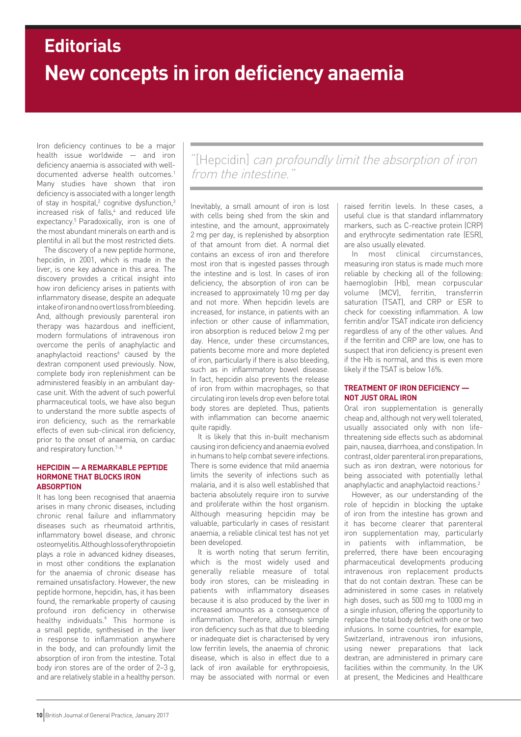# **New concepts in iron deficiency anaemia Editorials**

Iron deficiency continues to be a major health issue worldwide — and iron deficiency anaemia is associated with welldocumented adverse health outcomes.<sup>1</sup> Many studies have shown that iron deficiency is associated with a longer length of stay in hospital,<sup>2</sup> cognitive dysfunction,<sup>3</sup> increased risk of falls,<sup>4</sup> and reduced life expectancy.<sup>5</sup> Paradoxically, iron is one of the most abundant minerals on earth and is plentiful in all but the most restricted diets.

The discovery of a new peptide hormone, hepcidin, in 2001, which is made in the liver, is one key advance in this area. The discovery provides a critical insight into how iron deficiency arises in patients with inflammatory disease, despite an adequate intake of iron and no overt loss from bleeding. And, although previously parenteral iron therapy was hazardous and inefficient, modern formulations of intravenous iron overcome the perils of anaphylactic and anaphylactoid reactions<sup>6</sup> caused by the dextran component used previously. Now, complete body iron replenishment can be administered feasibly in an ambulant daycase unit. With the advent of such powerful pharmaceutical tools, we have also begun to understand the more subtle aspects of iron deficiency, such as the remarkable effects of even sub-clinical iron deficiency, prior to the onset of anaemia, on cardiac and respiratory function.<sup>7-8</sup>

## **HEPCIDIN — A REMARKABLE PEPTIDE HORMONE THAT BLOCKS IRON ABSORPTION**

It has long been recognised that anaemia arises in many chronic diseases, including chronic renal failure and inflammatory diseases such as rheumatoid arthritis, inflammatory bowel disease, and chronic osteomyelitis. Although loss of erythropoietin plays a role in advanced kidney diseases, in most other conditions the explanation for the anaemia of chronic disease has remained unsatisfactory. However, the new peptide hormone, hepcidin, has, it has been found, the remarkable property of causing profound iron deficiency in otherwise healthy individuals.9 This hormone is a small peptide, synthesised in the liver in response to inflammation anywhere in the body, and can profoundly limit the absorption of iron from the intestine. Total body iron stores are of the order of 2–3 g, and are relatively stable in a healthy person.

"[Hepcidin] can profoundly limit the absorption of iron from the intestine.

Inevitably, a small amount of iron is lost with cells being shed from the skin and intestine, and the amount, approximately 2 mg per day, is replenished by absorption of that amount from diet. A normal diet contains an excess of iron and therefore most iron that is ingested passes through the intestine and is lost. In cases of iron deficiency, the absorption of iron can be increased to approximately 10 mg per day and not more. When hepcidin levels are increased, for instance, in patients with an infection or other cause of inflammation, iron absorption is reduced below 2 mg per day. Hence, under these circumstances, patients become more and more depleted of iron, particularly if there is also bleeding, such as in inflammatory bowel disease. In fact, hepcidin also prevents the release of iron from within macrophages, so that circulating iron levels drop even before total body stores are depleted. Thus, patients with inflammation can become anaemic quite rapidly.

It is likely that this in-built mechanism causing iron deficiency and anaemia evolved in humans to help combat severe infections. There is some evidence that mild anaemia limits the severity of infections such as malaria, and it is also well established that bacteria absolutely require iron to survive and proliferate within the host organism. Although measuring hepcidin may be valuable, particularly in cases of resistant anaemia, a reliable clinical test has not yet been developed.

It is worth noting that serum ferritin, which is the most widely used and generally reliable measure of total body iron stores, can be misleading in patients with inflammatory diseases because it is also produced by the liver in increased amounts as a consequence of inflammation. Therefore, although simple iron deficiency such as that due to bleeding or inadequate diet is characterised by very low ferritin levels, the anaemia of chronic disease, which is also in effect due to a lack of iron available for erythropoiesis, may be associated with normal or even

raised ferritin levels. In these cases, a useful clue is that standard inflammatory markers, such as C-reactive protein (CRP) and erythrocyte sedimentation rate (ESR), are also usually elevated.

In most clinical circumstances, measuring iron status is made much more reliable by checking all of the following: haemoglobin (Hb), mean corpuscular volume (MCV), ferritin, transferrin saturation (TSAT), and CRP or ESR to check for coexisting inflammation. A low ferritin and/or TSAT indicate iron deficiency regardless of any of the other values. And if the ferritin and CRP are low, one has to suspect that iron deficiency is present even if the Hb is normal, and this is even more likely if the TSAT is below 16%.

## **TREATMENT OF IRON DEFICIENCY — NOT JUST ORAL IRON**

Oral iron supplementation is generally cheap and, although not very well tolerated, usually associated only with non lifethreatening side effects such as abdominal pain, nausea, diarrhoea, and constipation. In contrast, older parenteral iron preparations, such as iron dextran, were notorious for being associated with potentially lethal anaphylactic and anaphylactoid reactions.2

However, as our understanding of the role of hepcidin in blocking the uptake of iron from the intestine has grown and it has become clearer that parenteral iron supplementation may, particularly in patients with inflammation, be preferred, there have been encouraging pharmaceutical developments producing intravenous iron replacement products that do not contain dextran. These can be administered in some cases in relatively high doses, such as 500 mg to 1000 mg in a single infusion, offering the opportunity to replace the total body deficit with one or two infusions. In some countries, for example, Switzerland, intravenous iron infusions, using newer preparations that lack dextran, are administered in primary care facilities within the community. In the UK at present, the Medicines and Healthcare